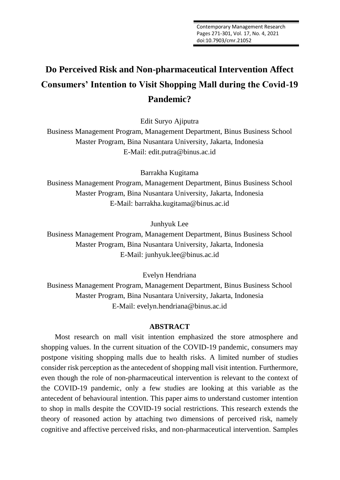# **Do Perceived Risk and Non-pharmaceutical Intervention Affect Consumers' Intention to Visit Shopping Mall during the Covid-19 Pandemic?**

Edit Suryo Ajiputra

Business Management Program, Management Department, Binus Business School Master Program, Bina Nusantara University, Jakarta, Indonesia E-Mail: edit.putra@binus.ac.id

Barrakha Kugitama

Business Management Program, Management Department, Binus Business School Master Program, Bina Nusantara University, Jakarta, Indonesia E-Mail: barrakha.kugitama@binus.ac.id

Junhyuk Lee

Business Management Program, Management Department, Binus Business School Master Program, Bina Nusantara University, Jakarta, Indonesia E-Mail: junhyuk.lee@binus.ac.id

Evelyn Hendriana

Business Management Program, Management Department, Binus Business School Master Program, Bina Nusantara University, Jakarta, Indonesia E-Mail: evelyn.hendriana@binus.ac.id

# **ABSTRACT**

Most research on mall visit intention emphasized the store atmosphere and shopping values. In the current situation of the COVID-19 pandemic, consumers may postpone visiting shopping malls due to health risks. A limited number of studies consider risk perception as the antecedent of shopping mall visit intention. Furthermore, even though the role of non-pharmaceutical intervention is relevant to the context of the COVID-19 pandemic, only a few studies are looking at this variable as the antecedent of behavioural intention. This paper aims to understand customer intention to shop in malls despite the COVID-19 social restrictions. This research extends the theory of reasoned action by attaching two dimensions of perceived risk, namely cognitive and affective perceived risks, and non-pharmaceutical intervention. Samples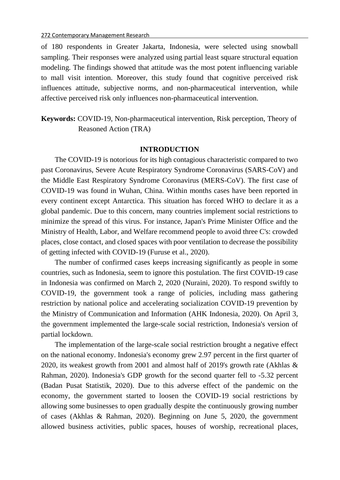of 180 respondents in Greater Jakarta, Indonesia, were selected using snowball sampling. Their responses were analyzed using partial least square structural equation modeling. The findings showed that attitude was the most potent influencing variable to mall visit intention. Moreover, this study found that cognitive perceived risk influences attitude, subjective norms, and non-pharmaceutical intervention, while affective perceived risk only influences non-pharmaceutical intervention.

**Keywords:** COVID-19, Non-pharmaceutical intervention, Risk perception, Theory of Reasoned Action (TRA)

#### **INTRODUCTION**

The COVID-19 is notorious for its high contagious characteristic compared to two past Coronavirus, Severe Acute Respiratory Syndrome Coronavirus (SARS-CoV) and the Middle East Respiratory Syndrome Coronavirus (MERS-CoV). The first case of COVID-19 was found in Wuhan, China. Within months cases have been reported in every continent except Antarctica. This situation has forced WHO to declare it as a global pandemic. Due to this concern, many countries implement social restrictions to minimize the spread of this virus. For instance, Japan's Prime Minister Office and the Ministry of Health, Labor, and Welfare recommend people to avoid three C's: crowded places, close contact, and closed spaces with poor ventilation to decrease the possibility of getting infected with COVID-19 (Furuse et al., 2020).

The number of confirmed cases keeps increasing significantly as people in some countries, such as Indonesia, seem to ignore this postulation. The first COVID-19 case in Indonesia was confirmed on March 2, 2020 (Nuraini, 2020). To respond swiftly to COVID-19, the government took a range of policies, including mass gathering restriction by national police and accelerating socialization COVID-19 prevention by the Ministry of Communication and Information (AHK Indonesia, 2020). On April 3, the government implemented the large-scale social restriction, Indonesia's version of partial lockdown.

The implementation of the large-scale social restriction brought a negative effect on the national economy. Indonesia's economy grew 2.97 percent in the first quarter of 2020, its weakest growth from 2001 and almost half of 2019's growth rate (Akhlas & Rahman, 2020). Indonesia's GDP growth for the second quarter fell to -5.32 percent (Badan Pusat Statistik, 2020). Due to this adverse effect of the pandemic on the economy, the government started to loosen the COVID-19 social restrictions by allowing some businesses to open gradually despite the continuously growing number of cases (Akhlas & Rahman, 2020). Beginning on June 5, 2020, the government allowed business activities, public spaces, houses of worship, recreational places,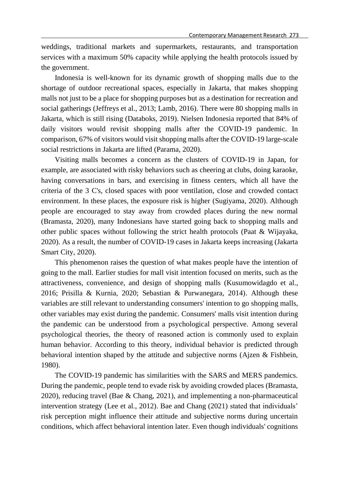weddings, traditional markets and supermarkets, restaurants, and transportation services with a maximum 50% capacity while applying the health protocols issued by the government.

Indonesia is well-known for its dynamic growth of shopping malls due to the shortage of outdoor recreational spaces, especially in Jakarta, that makes shopping malls not just to be a place for shopping purposes but as a destination for recreation and social gatherings (Jeffreys et al., 2013; Lamb, 2016). There were 80 shopping malls in Jakarta, which is still rising (Databoks, 2019). Nielsen Indonesia reported that 84% of daily visitors would revisit shopping malls after the COVID-19 pandemic. In comparison, 67% of visitors would visit shopping malls after the COVID-19 large-scale social restrictions in Jakarta are lifted (Parama, 2020).

Visiting malls becomes a concern as the clusters of COVID-19 in Japan, for example, are associated with risky behaviors such as cheering at clubs, doing karaoke, having conversations in bars, and exercising in fitness centers, which all have the criteria of the 3 C's, closed spaces with poor ventilation, close and crowded contact environment. In these places, the exposure risk is higher (Sugiyama, 2020). Although people are encouraged to stay away from crowded places during the new normal (Bramasta, 2020), many Indonesians have started going back to shopping malls and other public spaces without following the strict health protocols (Paat & Wijayaka, 2020). As a result, the number of COVID-19 cases in Jakarta keeps increasing (Jakarta Smart City, 2020).

This phenomenon raises the question of what makes people have the intention of going to the mall. Earlier studies for mall visit intention focused on merits, such as the attractiveness, convenience, and design of shopping malls (Kusumowidagdo et al., 2016; Prisilla & Kurnia, 2020; Sebastian & Purwanegara, 2014). Although these variables are still relevant to understanding consumers' intention to go shopping malls, other variables may exist during the pandemic. Consumers' malls visit intention during the pandemic can be understood from a psychological perspective. Among several psychological theories, the theory of reasoned action is commonly used to explain human behavior. According to this theory, individual behavior is predicted through behavioral intention shaped by the attitude and subjective norms (Ajzen & Fishbein, 1980).

The COVID-19 pandemic has similarities with the SARS and MERS pandemics. During the pandemic, people tend to evade risk by avoiding crowded places (Bramasta, 2020), reducing travel (Bae & Chang, 2021), and implementing a non-pharmaceutical intervention strategy (Lee et al., 2012). Bae and Chang (2021) stated that individuals' risk perception might influence their attitude and subjective norms during uncertain conditions, which affect behavioral intention later. Even though individuals' cognitions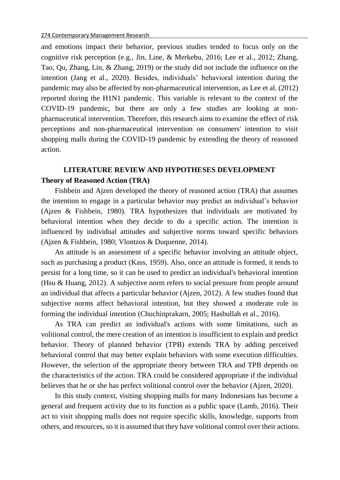and emotions impact their behavior, previous studies tended to focus only on the cognitive risk perception (e.g., Jin, Line, & Merkebu, 2016; Lee et al., 2012; Zhang, Tao, Qu, Zhang, Lin, & Zhang, 2019) or the study did not include the influence on the intention (Jang et al., 2020). Besides, individuals' behavioral intention during the pandemic may also be affected by non-pharmaceutical intervention, as Lee et al. (2012) reported during the H1N1 pandemic. This variable is relevant to the context of the COVID-19 pandemic, but there are only a few studies are looking at nonpharmaceutical intervention. Therefore, this research aims to examine the effect of risk perceptions and non-pharmaceutical intervention on consumers' intention to visit shopping malls during the COVID-19 pandemic by extending the theory of reasoned action.

# **LITERATURE REVIEW AND HYPOTHESES DEVELOPMENT Theory of Reasoned Action (TRA)**

Fishbein and Ajzen developed the theory of reasoned action (TRA) that assumes the intention to engage in a particular behavior may predict an individual's behavior (Ajzen & Fishbein, 1980). TRA hypothesizes that individuals are motivated by behavioral intention when they decide to do a specific action. The intention is influenced by individual attitudes and subjective norms toward specific behaviors (Ajzen & Fishbein, 1980; Vlontzos & Duquenne, 2014).

An attitude is an assessment of a specific behavior involving an attitude object, such as purchasing a product (Kass, 1959). Also, once an attitude is formed, it tends to persist for a long time, so it can be used to predict an individual's behavioral intention (Hsu & Huang, 2012). A subjective norm refers to social pressure from people around an individual that affects a particular behavior (Ajzen, 2012). A few studies found that subjective norms affect behavioral intention, but they showed a moderate role in forming the individual intention (Chuchinprakarn, 2005; Hasbullah et al., 2016).

As TRA can predict an individual's actions with some limitations, such as volitional control, the mere creation of an intention is insufficient to explain and predict behavior. Theory of planned behavior (TPB) extends TRA by adding perceived behavioral control that may better explain behaviors with some execution difficulties. However, the selection of the appropriate theory between TRA and TPB depends on the characteristics of the action. TRA could be considered appropriate if the individual believes that he or she has perfect volitional control over the behavior (Ajzen, 2020).

In this study context, visiting shopping malls for many Indonesians has become a general and frequent activity due to its function as a public space (Lamb, 2016). Their act to visit shopping malls does not require specific skills, knowledge, supports from others, and resources, so it is assumed that they have volitional control over their actions.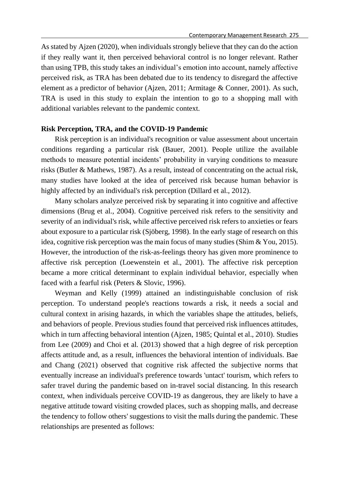As stated by Ajzen (2020), when individuals strongly believe that they can do the action if they really want it, then perceived behavioral control is no longer relevant. Rather than using TPB, this study takes an individual's emotion into account, namely affective perceived risk, as TRA has been debated due to its tendency to disregard the affective element as a predictor of behavior (Ajzen, 2011; Armitage & Conner, 2001). As such, TRA is used in this study to explain the intention to go to a shopping mall with additional variables relevant to the pandemic context.

### **Risk Perception, TRA, and the COVID-19 Pandemic**

Risk perception is an individual's recognition or value assessment about uncertain conditions regarding a particular risk (Bauer, 2001). People utilize the available methods to measure potential incidents' probability in varying conditions to measure risks (Butler & Mathews, 1987). As a result, instead of concentrating on the actual risk, many studies have looked at the idea of perceived risk because human behavior is highly affected by an individual's risk perception (Dillard et al., 2012).

Many scholars analyze perceived risk by separating it into cognitive and affective dimensions (Brug et al., 2004). Cognitive perceived risk refers to the sensitivity and severity of an individual's risk, while affective perceived risk refers to anxieties or fears about exposure to a particular risk (Sjöberg, 1998). In the early stage of research on this idea, cognitive risk perception was the main focus of many studies (Shim & You, 2015). However, the introduction of the risk-as-feelings theory has given more prominence to affective risk perception (Loewenstein et al., 2001). The affective risk perception became a more critical determinant to explain individual behavior, especially when faced with a fearful risk (Peters & Slovic, 1996).

Weyman and Kelly (1999) attained an indistinguishable conclusion of risk perception. To understand people's reactions towards a risk, it needs a social and cultural context in arising hazards, in which the variables shape the attitudes, beliefs, and behaviors of people. Previous studies found that perceived risk influences attitudes, which in turn affecting behavioral intention (Ajzen, 1985; Quintal et al., 2010). Studies from Lee (2009) and Choi et al. (2013) showed that a high degree of risk perception affects attitude and, as a result, influences the behavioral intention of individuals. Bae and Chang (2021) observed that cognitive risk affected the subjective norms that eventually increase an individual's preference towards 'untact' tourism, which refers to safer travel during the pandemic based on in-travel social distancing. In this research context, when individuals perceive COVID-19 as dangerous, they are likely to have a negative attitude toward visiting crowded places, such as shopping malls, and decrease the tendency to follow others' suggestions to visit the malls during the pandemic. These relationships are presented as follows: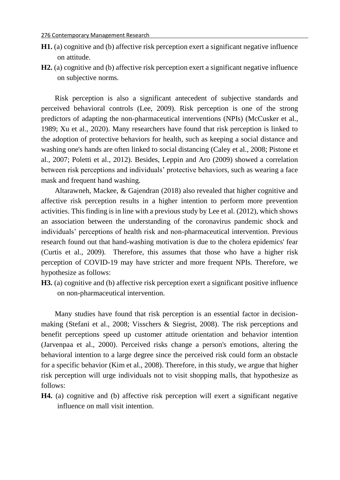- **H1.** (a) cognitive and (b) affective risk perception exert a significant negative influence on attitude.
- **H2.** (a) cognitive and (b) affective risk perception exert a significant negative influence on subjective norms.

Risk perception is also a significant antecedent of subjective standards and perceived behavioral controls (Lee, 2009). Risk perception is one of the strong predictors of adapting the non-pharmaceutical interventions (NPIs) (McCusker et al., 1989; Xu et al., 2020). Many researchers have found that risk perception is linked to the adoption of protective behaviors for health, such as keeping a social distance and washing one's hands are often linked to social distancing (Caley et al., 2008; Pistone et al., 2007; Poletti et al., 2012). Besides, Leppin and Aro (2009) showed a correlation between risk perceptions and individuals' protective behaviors, such as wearing a face mask and frequent hand washing.

Altarawneh, Mackee, & Gajendran (2018) also revealed that higher cognitive and affective risk perception results in a higher intention to perform more prevention activities. This finding is in line with a previous study by Lee et al. (2012), which shows an association between the understanding of the coronavirus pandemic shock and individuals' perceptions of health risk and non-pharmaceutical intervention. Previous research found out that hand-washing motivation is due to the cholera epidemics' fear (Curtis et al., 2009). Therefore, this assumes that those who have a higher risk perception of COVID-19 may have stricter and more frequent NPIs. Therefore, we hypothesize as follows:

**H3.** (a) cognitive and (b) affective risk perception exert a significant positive influence on non-pharmaceutical intervention.

Many studies have found that risk perception is an essential factor in decisionmaking (Stefani et al., 2008; Visschers & Siegrist, 2008). The risk perceptions and benefit perceptions speed up customer attitude orientation and behavior intention (Jarvenpaa et al., 2000). Perceived risks change a person's emotions, altering the behavioral intention to a large degree since the perceived risk could form an obstacle for a specific behavior (Kim et al., 2008). Therefore, in this study, we argue that higher risk perception will urge individuals not to visit shopping malls, that hypothesize as follows:

**H4.** (a) cognitive and (b) affective risk perception will exert a significant negative influence on mall visit intention.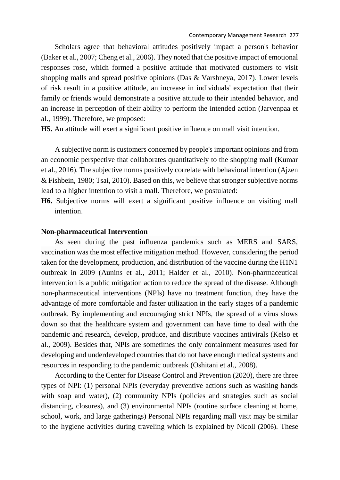Scholars agree that behavioral attitudes positively impact a person's behavior (Baker et al., 2007; Cheng et al., 2006). They noted that the positive impact of emotional responses rose, which formed a positive attitude that motivated customers to visit shopping malls and spread positive opinions (Das & Varshneya, 2017). Lower levels of risk result in a positive attitude, an increase in individuals' expectation that their family or friends would demonstrate a positive attitude to their intended behavior, and an increase in perception of their ability to perform the intended action (Jarvenpaa et al., 1999). Therefore, we proposed:

**H5.** An attitude will exert a significant positive influence on mall visit intention.

A subjective norm is customers concerned by people's important opinions and from an economic perspective that collaborates quantitatively to the shopping mall (Kumar et al., 2016). The subjective norms positively correlate with behavioral intention (Ajzen & Fishbein, 1980; Tsai, 2010). Based on this, we believe that stronger subjective norms lead to a higher intention to visit a mall. Therefore, we postulated:

**H6.** Subjective norms will exert a significant positive influence on visiting mall intention.

### **Non-pharmaceutical Intervention**

As seen during the past influenza pandemics such as MERS and SARS, vaccination was the most effective mitigation method. However, considering the period taken for the development, production, and distribution of the vaccine during the H1N1 outbreak in 2009 (Aunins et al., 2011; Halder et al., 2010). Non-pharmaceutical intervention is a public mitigation action to reduce the spread of the disease. Although non-pharmaceutical interventions (NPIs) have no treatment function, they have the advantage of more comfortable and faster utilization in the early stages of a pandemic outbreak. By implementing and encouraging strict NPIs, the spread of a virus slows down so that the healthcare system and government can have time to deal with the pandemic and research, develop, produce, and distribute vaccines antivirals (Kelso et al., 2009). Besides that, NPIs are sometimes the only containment measures used for developing and underdeveloped countries that do not have enough medical systems and resources in responding to the pandemic outbreak (Oshitani et al., 2008).

According to the Center for Disease Control and Prevention (2020), there are three types of NPI: (1) personal NPIs (everyday preventive actions such as washing hands with soap and water), (2) community NPIs (policies and strategies such as social distancing, closures), and (3) environmental NPIs (routine surface cleaning at home, school, work, and large gatherings) Personal NPIs regarding mall visit may be similar to the hygiene activities during traveling which is explained by Nicoll (2006). These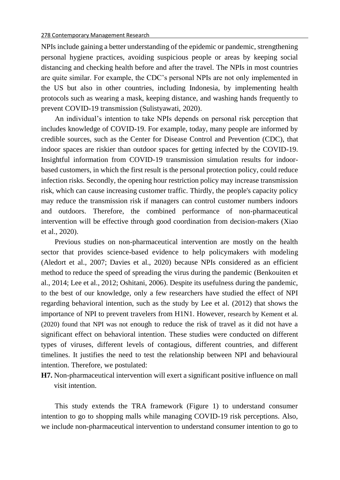NPIs include gaining a better understanding of the epidemic or pandemic, strengthening personal hygiene practices, avoiding suspicious people or areas by keeping social distancing and checking health before and after the travel. The NPIs in most countries are quite similar. For example, the CDC's personal NPIs are not only implemented in the US but also in other countries, including Indonesia, by implementing health protocols such as wearing a mask, keeping distance, and washing hands frequently to prevent COVID-19 transmission (Sulistyawati, 2020).

An individual's intention to take NPIs depends on personal risk perception that includes knowledge of COVID-19. For example, today, many people are informed by credible sources, such as the Center for Disease Control and Prevention (CDC), that indoor spaces are riskier than outdoor spaces for getting infected by the COVID-19. Insightful information from COVID-19 transmission simulation results for indoorbased customers, in which the first result is the personal protection policy, could reduce infection risks. Secondly, the opening hour restriction policy may increase transmission risk, which can cause increasing customer traffic. Thirdly, the people's capacity policy may reduce the transmission risk if managers can control customer numbers indoors and outdoors. Therefore, the combined performance of non-pharmaceutical intervention will be effective through good coordination from decision-makers (Xiao et al., 2020).

Previous studies on non-pharmaceutical intervention are mostly on the health sector that provides science-based evidence to help policymakers with modeling (Aledort et al., 2007; Davies et al., 2020) because NPIs considered as an efficient method to reduce the speed of spreading the virus during the pandemic (Benkouiten et al., 2014; Lee et al., 2012; Oshitani, 2006). Despite its usefulness during the pandemic, to the best of our knowledge, only a few researchers have studied the effect of NPI regarding behavioral intention, such as the study by Lee et al. (2012) that shows the importance of NPI to prevent travelers from H1N1. However, research by Kement et al. (2020) found that NPI was not enough to reduce the risk of travel as it did not have a significant effect on behavioral intention. These studies were conducted on different types of viruses, different levels of contagious, different countries, and different timelines. It justifies the need to test the relationship between NPI and behavioural intention. Therefore, we postulated:

**H7.** Non-pharmaceutical intervention will exert a significant positive influence on mall visit intention.

This study extends the TRA framework (Figure 1) to understand consumer intention to go to shopping malls while managing COVID-19 risk perceptions. Also, we include non-pharmaceutical intervention to understand consumer intention to go to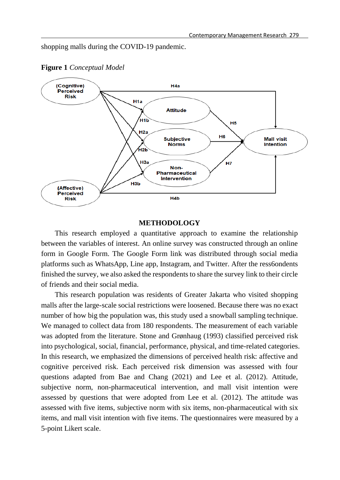shopping malls during the COVID-19 pandemic.



**Figure 1** *Conceptual Model*

### **METHODOLOGY**

This research employed a quantitative approach to examine the relationship between the variables of interest. An online survey was constructed through an online form in Google Form. The Google Form link was distributed through social media platforms such as WhatsApp, Line app, Instagram, and Twitter. After the ress6ondents finished the survey, we also asked the respondents to share the survey link to their circle of friends and their social media.

This research population was residents of Greater Jakarta who visited shopping malls after the large-scale social restrictions were loosened. Because there was no exact number of how big the population was, this study used a snowball sampling technique. We managed to collect data from 180 respondents. The measurement of each variable was adopted from the literature. Stone and Grønhaug (1993) classified perceived risk into psychological, social, financial, performance, physical, and time-related categories. In this research, we emphasized the dimensions of perceived health risk: affective and cognitive perceived risk. Each perceived risk dimension was assessed with four questions adapted from Bae and Chang (2021) and Lee et al. (2012). Attitude, subjective norm, non-pharmaceutical intervention, and mall visit intention were assessed by questions that were adopted from Lee et al. (2012). The attitude was assessed with five items, subjective norm with six items, non-pharmaceutical with six items, and mall visit intention with five items. The questionnaires were measured by a 5-point Likert scale.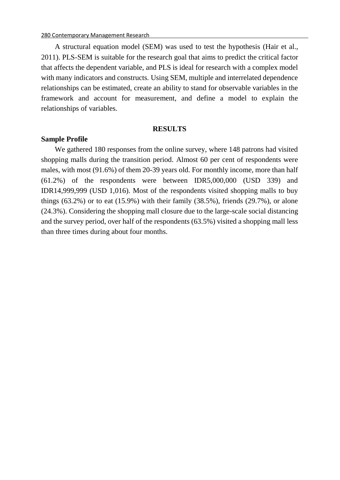A structural equation model (SEM) was used to test the hypothesis (Hair et al., 2011). PLS-SEM is suitable for the research goal that aims to predict the critical factor that affects the dependent variable, and PLS is ideal for research with a complex model with many indicators and constructs. Using SEM, multiple and interrelated dependence relationships can be estimated, create an ability to stand for observable variables in the framework and account for measurement, and define a model to explain the relationships of variables.

#### **RESULTS**

#### **Sample Profile**

We gathered 180 responses from the online survey, where 148 patrons had visited shopping malls during the transition period. Almost 60 per cent of respondents were males, with most (91.6%) of them 20-39 years old. For monthly income, more than half (61.2%) of the respondents were between IDR5,000,000 (USD 339) and IDR14,999,999 (USD 1,016). Most of the respondents visited shopping malls to buy things  $(63.2\%)$  or to eat  $(15.9\%)$  with their family  $(38.5\%)$ , friends  $(29.7\%)$ , or alone (24.3%). Considering the shopping mall closure due to the large-scale social distancing and the survey period, over half of the respondents (63.5%) visited a shopping mall less than three times during about four months.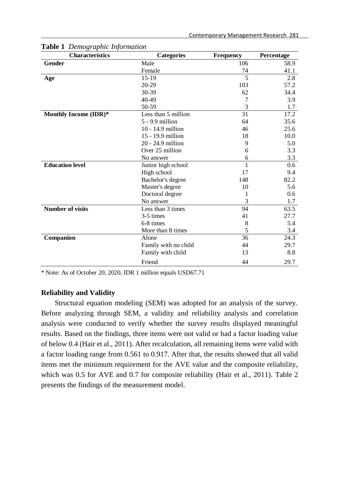| <b>Characteristics</b>  | <b>Categories</b>    | <b>Frequency</b> | Percentage |
|-------------------------|----------------------|------------------|------------|
| Gender                  | Male                 | 106              | 58.9       |
|                         | Female               | 74               | 41.1       |
| Age                     | $15-19$              | 5                | 2.8        |
|                         | 20-29                | 103              | 57.2       |
|                         | 30-39                | 62               | 34.4       |
|                         | 40-49                | 7                | 3.9        |
|                         | 50-59                | 3                | 1.7        |
| Monthly Income (IDR)*   | Less than 5 million  | 31               | 17.2       |
|                         | 5 - 9.9 million      | 64               | 35.6       |
|                         | 10 - 14.9 million    | 46               | 25.6       |
|                         | 15 - 19.9 million    | 18               | 10.0       |
|                         | 20 - 24.9 million    | 9                | 5.0        |
|                         | Over 25 million      | 6                | 3.3        |
|                         | No answer            | 6                | 3.3        |
| <b>Education level</b>  | Junior high school   | $\mathbf{1}$     | 0.6        |
|                         | High school          | 17               | 9.4        |
|                         | Bachelor's degree    | 148              | 82.2       |
|                         | Master's degree      | 10               | 5.6        |
|                         | Doctoral degree      | 1                | 0.6        |
|                         | No answer            | 3                | 1.7        |
| <b>Number of visits</b> | Less than 3 times    | 94               | 63.5       |
|                         | 3-5 times            | 41               | 27.7       |
|                         | 6-8 times            | 8                | 5.4        |
|                         | More than 8 times    | 5                | 3.4        |
| Companion               | Alone                | 36               | 24.3       |
|                         | Family with no child | 44               | 29.7       |
|                         | Family with child    | 13               | 8.8        |
|                         | Friend               | 44               | 29.7       |

**Table 1** *Demographic Information*

\* Note: As of October 20, 2020, IDR 1 million equals USD67.71

# **Reliability and Validity**

Structural equation modeling (SEM) was adopted for an analysis of the survey. Before analyzing through SEM, a validity and reliability analysis and correlation analysis were conducted to verify whether the survey results displayed meaningful results. Based on the findings, three items were not valid or had a factor loading value of below 0.4 (Hair et al., 2011). After recalculation, all remaining items were valid with a factor loading range from 0.561 to 0.917. After that, the results showed that all valid items met the minimum requirement for the AVE value and the composite reliability, which was 0.5 for AVE and 0.7 for composite reliability (Hair et al., 2011). Table 2 presents the findings of the measurement model.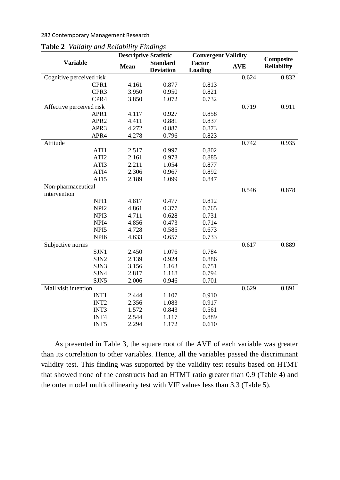282 Contemporary Management Research

| <b>Lavic</b> 2 validly and Reliability Finalitys | <b>Descriptive Statistic</b> |                  |                | <b>Convergent Validity</b> |                    |  |
|--------------------------------------------------|------------------------------|------------------|----------------|----------------------------|--------------------|--|
| <b>Variable</b>                                  |                              | <b>Standard</b>  | <b>Factor</b>  |                            | Composite          |  |
|                                                  | <b>Mean</b>                  | <b>Deviation</b> | <b>Loading</b> | <b>AVE</b>                 | <b>Reliability</b> |  |
| Cognitive perceived risk                         |                              |                  |                | 0.624                      | 0.832              |  |
| CPR1                                             | 4.161                        | 0.877            | 0.813          |                            |                    |  |
| CPR3                                             | 3.950                        | 0.950            | 0.821          |                            |                    |  |
| CPR4                                             | 3.850                        | 1.072            | 0.732          |                            |                    |  |
| Affective perceived risk                         |                              |                  |                | 0.719                      | 0.911              |  |
| APR1                                             | 4.117                        | 0.927            | 0.858          |                            |                    |  |
| APR <sub>2</sub>                                 | 4.411                        | 0.881            | 0.837          |                            |                    |  |
| APR3                                             | 4.272                        | 0.887            | 0.873          |                            |                    |  |
| APR4                                             | 4.278                        | 0.796            | 0.823          |                            |                    |  |
| Attitude                                         |                              |                  |                | 0.742                      | 0.935              |  |
| ATI1                                             | 2.517                        | 0.997            | 0.802          |                            |                    |  |
| ATI <sub>2</sub>                                 | 2.161                        | 0.973            | 0.885          |                            |                    |  |
| ATI3                                             | 2.211                        | 1.054            | 0.877          |                            |                    |  |
| ATI4                                             | 2.306                        | 0.967            | 0.892          |                            |                    |  |
| ATI5                                             | 2.189                        | 1.099            | 0.847          |                            |                    |  |
| Non-pharmaceutical                               |                              |                  |                | 0.546                      | 0.878              |  |
| intervention                                     |                              |                  |                |                            |                    |  |
| NPI1                                             | 4.817                        | 0.477            | 0.812          |                            |                    |  |
| NPI <sub>2</sub>                                 | 4.861                        | 0.377            | 0.765          |                            |                    |  |
| NPI3                                             | 4.711                        | 0.628            | 0.731          |                            |                    |  |
| NPI <sub>4</sub>                                 | 4.856                        | 0.473            | 0.714          |                            |                    |  |
| NPI <sub>5</sub>                                 | 4.728                        | 0.585            | 0.673          |                            |                    |  |
| NPI <sub>6</sub>                                 | 4.633                        | 0.657            | 0.733          |                            |                    |  |
| Subjective norms                                 |                              |                  |                | 0.617                      | 0.889              |  |
| SJN1                                             | 2.450                        | 1.076            | 0.784          |                            |                    |  |
| SJN <sub>2</sub>                                 | 2.139                        | 0.924            | 0.886          |                            |                    |  |
| SJN3                                             | 3.156                        | 1.163            | 0.751          |                            |                    |  |
| SJN4                                             | 2.817                        | 1.118            | 0.794          |                            |                    |  |
| SJN5                                             | 2.006                        | 0.946            | 0.701          |                            |                    |  |
| Mall visit intention                             |                              |                  |                | 0.629                      | 0.891              |  |
| INT1                                             | 2.444                        | 1.107            | 0.910          |                            |                    |  |
| INT <sub>2</sub>                                 | 2.356                        | 1.083            | 0.917          |                            |                    |  |
| INT3                                             | 1.572                        | 0.843            | 0.561          |                            |                    |  |
| INT4                                             | 2.544                        | 1.117            | 0.889          |                            |                    |  |
| INT <sub>5</sub>                                 | 2.294                        | 1.172            | 0.610          |                            |                    |  |

|  | <b>Table 2</b> Validity and Reliability Findings |  |
|--|--------------------------------------------------|--|
|  |                                                  |  |

As presented in Table 3, the square root of the AVE of each variable was greater than its correlation to other variables. Hence, all the variables passed the discriminant validity test. This finding was supported by the validity test results based on HTMT that showed none of the constructs had an HTMT ratio greater than 0.9 (Table 4) and the outer model multicollinearity test with VIF values less than 3.3 (Table 5).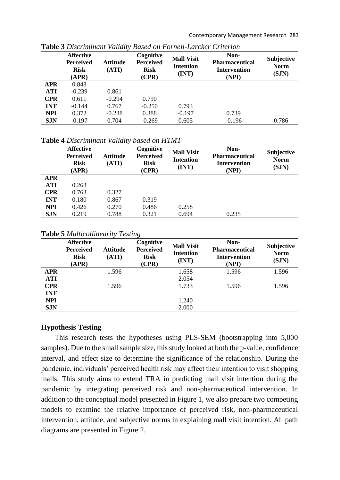|            | <b>Affective</b><br><b>Perceived</b><br><b>Risk</b><br>(APR) | <b>Attitude</b><br>(ATI) | Cognitive<br><b>Perceived</b><br><b>Risk</b><br>(CPR) | <b>Mall Visit</b><br><b>Intention</b><br>(INT) | Non-<br><b>Pharmaceutical</b><br><b>Intervention</b><br>(NPI) | <b>Subjective</b><br><b>Norm</b><br>(SJN) |
|------------|--------------------------------------------------------------|--------------------------|-------------------------------------------------------|------------------------------------------------|---------------------------------------------------------------|-------------------------------------------|
| <b>APR</b> | 0.848                                                        |                          |                                                       |                                                |                                                               |                                           |
| <b>ATI</b> | $-0.239$                                                     | 0.861                    |                                                       |                                                |                                                               |                                           |
| <b>CPR</b> | 0.611                                                        | $-0.294$                 | 0.790                                                 |                                                |                                                               |                                           |
| <b>INT</b> | $-0.144$                                                     | 0.767                    | $-0.250$                                              | 0.793                                          |                                                               |                                           |
| <b>NPI</b> | 0.372                                                        | $-0.238$                 | 0.388                                                 | $-0.197$                                       | 0.739                                                         |                                           |
| <b>SJN</b> | $-0.197$                                                     | 0.704                    | $-0.269$                                              | 0.605                                          | $-0.196$                                                      | 0.786                                     |

**Table 3** *Discriminant Validity Based on Fornell-Larcker Criterion*

**Table 4** *Discriminant Validity based on HTMT*

|            | <b>Affective</b><br><b>Perceived</b><br><b>Risk</b><br>(APR) | <b>Attitude</b><br>(ATI) | Cognitive<br><b>Perceived</b><br><b>Risk</b><br>(CPR) | <b>Mall Visit</b><br><b>Intention</b><br>(INT) | Non-<br><b>Pharmaceutical</b><br><b>Intervention</b><br>(NPI) | <b>Subjective</b><br><b>Norm</b><br>(SJN) |
|------------|--------------------------------------------------------------|--------------------------|-------------------------------------------------------|------------------------------------------------|---------------------------------------------------------------|-------------------------------------------|
| <b>APR</b> |                                                              |                          |                                                       |                                                |                                                               |                                           |
| <b>ATI</b> | 0.263                                                        |                          |                                                       |                                                |                                                               |                                           |
| <b>CPR</b> | 0.763                                                        | 0.327                    |                                                       |                                                |                                                               |                                           |
| <b>INT</b> | 0.180                                                        | 0.867                    | 0.319                                                 |                                                |                                                               |                                           |
| <b>NPI</b> | 0.426                                                        | 0.270                    | 0.486                                                 | 0.258                                          |                                                               |                                           |
| <b>SJN</b> | 0.219                                                        | 0.788                    | 0.321                                                 | 0.694                                          | 0.235                                                         |                                           |
|            |                                                              |                          |                                                       |                                                |                                                               |                                           |

**Table 5** *Multicollinearity Testing*

|            | <b>Affective</b><br><b>Perceived</b><br><b>Risk</b><br>(APR) | <b>Attitude</b><br>(ATI) | Cognitive<br><b>Perceived</b><br><b>Risk</b><br>(CPR) | <b>Mall Visit</b><br><b>Intention</b><br>(INT) | Non-<br><b>Pharmaceutical</b><br><b>Intervention</b><br>(NPI) | <b>Subjective</b><br><b>Norm</b><br>(SJN) |
|------------|--------------------------------------------------------------|--------------------------|-------------------------------------------------------|------------------------------------------------|---------------------------------------------------------------|-------------------------------------------|
| <b>APR</b> |                                                              | 1.596                    |                                                       | 1.658                                          | 1.596                                                         | 1.596                                     |
| <b>ATI</b> |                                                              |                          |                                                       | 2.054                                          |                                                               |                                           |
| <b>CPR</b> |                                                              | 1.596                    |                                                       | 1.733                                          | 1.596                                                         | 1.596                                     |
| <b>INT</b> |                                                              |                          |                                                       |                                                |                                                               |                                           |
| <b>NPI</b> |                                                              |                          |                                                       | 1.240                                          |                                                               |                                           |
| <b>SJN</b> |                                                              |                          |                                                       | 2.000                                          |                                                               |                                           |

# **Hypothesis Testing**

This research tests the hypotheses using PLS-SEM (bootstrapping into 5,000 samples). Due to the small sample size, this study looked at both the p-value, confidence interval, and effect size to determine the significance of the relationship. During the pandemic, individuals' perceived health risk may affect their intention to visit shopping malls. This study aims to extend TRA in predicting mall visit intention during the pandemic by integrating perceived risk and non-pharmaceutical intervention. In addition to the conceptual model presented in Figure 1, we also prepare two competing models to examine the relative importance of perceived risk, non-pharmaceutical intervention, attitude, and subjective norms in explaining mall visit intention. All path diagrams are presented in Figure 2.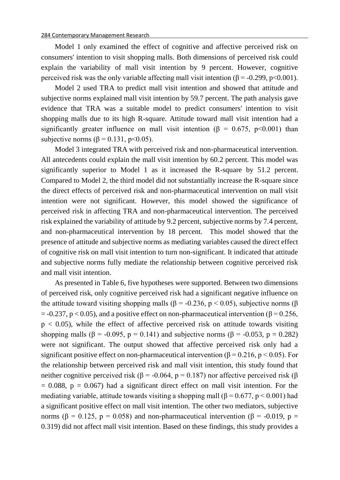Model 1 only examined the effect of cognitive and affective perceived risk on consumers' intention to visit shopping malls. Both dimensions of perceived risk could explain the variability of mall visit intention by 9 percent. However, cognitive perceived risk was the only variable affecting mall visit intention ( $\beta$  = -0.299, p<0.001).

Model 2 used TRA to predict mall visit intention and showed that attitude and subjective norms explained mall visit intention by 59.7 percent. The path analysis gave evidence that TRA was a suitable model to predict consumers' intention to visit shopping malls due to its high R-square. Attitude toward mall visit intention had a significantly greater influence on mall visit intention ( $\beta = 0.675$ , p<0.001) than subjective norms ( $\beta$  = 0.131, p<0.05).

Model 3 integrated TRA with perceived risk and non-pharmaceutical intervention. All antecedents could explain the mall visit intention by 60.2 percent. This model was significantly superior to Model 1 as it increased the R-square by 51.2 percent. Compared to Model 2, the third model did not substantially increase the R-square since the direct effects of perceived risk and non-pharmaceutical intervention on mall visit intention were not significant. However, this model showed the significance of perceived risk in affecting TRA and non-pharmaceutical intervention. The perceived risk explained the variability of attitude by 9.2 percent, subjective norms by 7.4 percent, and non-pharmaceutical intervention by 18 percent. This model showed that the presence of attitude and subjective norms as mediating variables caused the direct effect of cognitive risk on mall visit intention to turn non-significant. It indicated that attitude and subjective norms fully mediate the relationship between cognitive perceived risk and mall visit intention.

As presented in Table 6, five hypotheses were supported. Between two dimensions of perceived risk, only cognitive perceived risk had a significant negative influence on the attitude toward visiting shopping malls ( $\beta$  = -0.236, p < 0.05), subjective norms ( $\beta$  $= -0.237$ , p < 0.05), and a positive effect on non-pharmaceutical intervention ( $\beta = 0.256$ ,  $p < 0.05$ ), while the effect of affective perceived risk on attitude towards visiting shopping malls ( $\beta$  = -0.095, p = 0.141) and subjective norms ( $\beta$  = -0.053, p = 0.282) were not significant. The output showed that affective perceived risk only had a significant positive effect on non-pharmaceutical intervention ( $\beta$  = 0.216, p < 0.05). For the relationship between perceived risk and mall visit intention, this study found that neither cognitive perceived risk (β = -0.064, p = 0.187) nor affective perceived risk (β  $= 0.088$ ,  $p = 0.067$ ) had a significant direct effect on mall visit intention. For the mediating variable, attitude towards visiting a shopping mall  $(\beta = 0.677, p \le 0.001)$  had a significant positive effect on mall visit intention. The other two mediators, subjective norms ( $\beta$  = 0.125, p = 0.058) and non-pharmaceutical intervention ( $\beta$  = -0.019, p = 0.319) did not affect mall visit intention. Based on these findings, this study provides a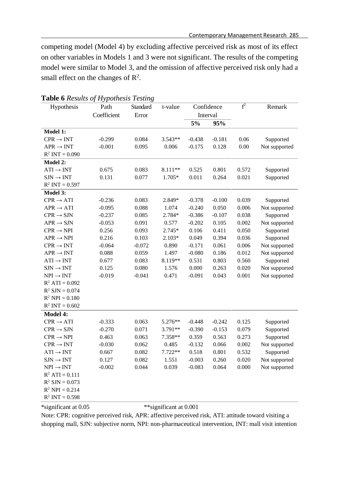competing model (Model 4) by excluding affective perceived risk as most of its effect on other variables in Models 1 and 3 were not significant. The results of the competing model were similar to Model 3, and the omission of affective perceived risk only had a small effect on the changes of  $\mathbb{R}^2$ .

| Hypothesis            | Path        | Standard | t-value                 | Confidence |          | $\overline{f^2}$ | Remark        |  |
|-----------------------|-------------|----------|-------------------------|------------|----------|------------------|---------------|--|
|                       | Coefficient | Error    |                         | Interval   |          |                  |               |  |
|                       |             |          |                         | 5%         | 95%      |                  |               |  |
| <b>Model 1:</b>       |             |          |                         |            |          |                  |               |  |
| $CPR \rightarrow INT$ | $-0.299$    | 0.084    | $3.543**$               | $-0.438$   | $-0.181$ | 0.06             | Supported     |  |
| $APR \rightarrow INT$ | $-0.001$    | 0.095    | 0.006                   | $-0.175$   | 0.128    | 0.00             | Not supported |  |
| $R^2$ INT = 0.090     |             |          |                         |            |          |                  |               |  |
| <b>Model 2:</b>       |             |          |                         |            |          |                  |               |  |
| $ATI \rightarrow INT$ | 0.675       | 0.083    | 8.111**                 | 0.525      | 0.801    | 0.572            | Supported     |  |
| $SIM \rightarrow INT$ | 0.131       | 0.077    | 1.705*                  | 0.011      | 0.264    | 0.021            | Supported     |  |
| $R^2$ INT = 0.597     |             |          |                         |            |          |                  |               |  |
| Model 3:              |             |          |                         |            |          |                  |               |  |
| $CPR \rightarrow ATI$ | $-0.236$    | 0.083    | 2.849*                  | $-0.378$   | $-0.100$ | 0.039            | Supported     |  |
| $APR \rightarrow ATI$ | $-0.095$    | 0.088    | 1.074                   | $-0.240$   | 0.050    | 0.006            | Not supported |  |
| $CPR \rightarrow SIN$ | $-0.237$    | 0.085    | 2.784*                  | $-0.386$   | $-0.107$ | 0.038            | Supported     |  |
| $APR \rightarrow$ SJN | $-0.053$    | 0.091    | 0.577                   | $-0.202$   | 0.105    | 0.002            | Not supported |  |
| $CPR \rightarrow NPI$ | 0.256       | 0.093    | 2.745*                  | 0.106      | 0.411    | 0.050            | Supported     |  |
| $APR \rightarrow NPI$ | 0.216       | 0.103    | $2.103*$                | 0.049      | 0.394    | 0.036            | Supported     |  |
| $CPR \rightarrow INT$ | $-0.064$    | $-0.072$ | 0.890                   | $-0.171$   | 0.061    | 0.006            | Not supported |  |
| $APR \rightarrow INT$ | 0.088       | 0.059    | 1.497                   | $-0.080$   | 0.186    | 0.012            | Not supported |  |
| $ATI \rightarrow INT$ | 0.677       | 0.083    | 8.119**                 | 0.531      | 0.803    | 0.560            | Supported     |  |
| $SIM \rightarrow INT$ | 0.125       | 0.080    | 1.576                   | 0.000      | 0.263    | 0.020            | Not supported |  |
| $NPI \rightarrow INT$ | $-0.019$    | $-0.041$ | 0.471                   | $-0.091$   | 0.043    | 0.001            | Not supported |  |
| $R^2$ ATI = 0.092     |             |          |                         |            |          |                  |               |  |
| $R^2$ SJN = 0.074     |             |          |                         |            |          |                  |               |  |
| $R^2$ NPI = 0.180     |             |          |                         |            |          |                  |               |  |
| $R^2$ INT = 0.602     |             |          |                         |            |          |                  |               |  |
| <b>Model 4:</b>       |             |          |                         |            |          |                  |               |  |
| $CPR \rightarrow ATI$ | $-0.333$    | 0.063    | 5.276**                 | $-0.448$   | $-0.242$ | 0.125            | Supported     |  |
| $CPR \rightarrow SIN$ | $-0.270$    | 0.071    | $3.791**$               | $-0.390$   | $-0.153$ | 0.079            | Supported     |  |
| $CPR \rightarrow NPI$ | 0.463       | 0.063    | 7.358**                 | 0.359      | 0.563    | 0.273            | Supported     |  |
| $CPR \rightarrow INT$ | $-0.030$    | 0.062    | 0.485                   | $-0.132$   | 0.066    | 0.002            | Not supported |  |
| $ATI \rightarrow INT$ | 0.667       | 0.082    | $7.722**$               | 0.518      | 0.801    | 0.532            | Supported     |  |
| $SIM \rightarrow INT$ | 0.127       | 0.082    | 1.551                   | $-0.003$   | 0.260    | 0.020            | Not supported |  |
| $NPI \rightarrow INT$ | $-0.002$    | 0.044    | 0.039                   | $-0.083$   | 0.064    | 0.000            | Not supported |  |
| $R^2$ ATI = 0.111     |             |          |                         |            |          |                  |               |  |
| $R^2$ SJN = 0.073     |             |          |                         |            |          |                  |               |  |
| $R^2$ NPI = 0.214     |             |          |                         |            |          |                  |               |  |
| $R^2$ INT = 0.598     |             |          |                         |            |          |                  |               |  |
| *significant at 0.05  |             |          | ** significant at 0.001 |            |          |                  |               |  |

# **Table 6** *Results of Hypothesis Testing*

Note: CPR: cognitive perceived risk, APR: affective perceived risk, ATI: attitude toward visiting a shopping mall, SJN: subjective norm, NPI: non-pharmaceutical intervention, INT: mall visit intention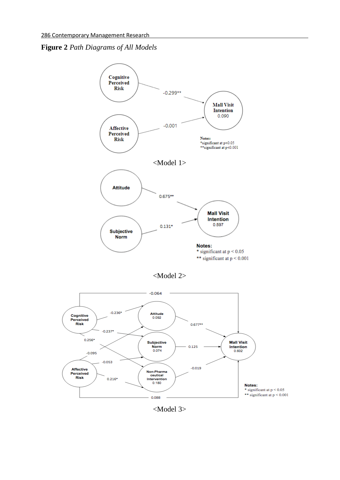



<Model 3>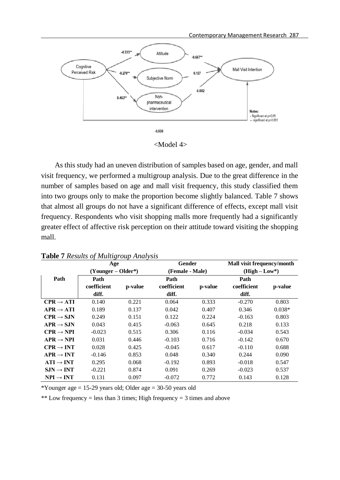

<Model 4>

As this study had an uneven distribution of samples based on age, gender, and mall visit frequency, we performed a multigroup analysis. Due to the great difference in the number of samples based on age and mall visit frequency, this study classified them into two groups only to make the proportion become slightly balanced. Table 7 shows that almost all groups do not have a significant difference of effects, except mall visit frequency. Respondents who visit shopping malls more frequently had a significantly greater effect of affective risk perception on their attitude toward visiting the shopping mall.

|                        | Age                  |         | Gender      |                 | Mall visit frequency/month |               |  |
|------------------------|----------------------|---------|-------------|-----------------|----------------------------|---------------|--|
|                        | $(Younger - Older*)$ |         |             | (Female - Male) |                            | $(High-Low*)$ |  |
| Path                   | Path                 |         | Path        |                 | Path                       |               |  |
|                        | coefficient          | p-value | coefficient | p-value         | coefficient                | p-value       |  |
|                        | diff.                |         | diff.       |                 | diff.                      |               |  |
| $CPR \rightarrow ATI$  | 0.140                | 0.221   | 0.064       | 0.333           | $-0.270$                   | 0.803         |  |
| $APR \rightarrow ATI$  | 0.189                | 0.137   | 0.042       | 0.407           | 0.346                      | $0.038*$      |  |
| $CPR \rightarrow$ S.IN | 0.249                | 0.151   | 0.122       | 0.224           | $-0.163$                   | 0.803         |  |
| $APR \rightarrow SJN$  | 0.043                | 0.415   | $-0.063$    | 0.645           | 0.218                      | 0.133         |  |
| $CPR \rightarrow NPI$  | $-0.023$             | 0.515   | 0.306       | 0.116           | $-0.034$                   | 0.543         |  |
| $APR \rightarrow NPI$  | 0.031                | 0.446   | $-0.103$    | 0.716           | $-0.142$                   | 0.670         |  |
| $CPR \rightarrow INT$  | 0.028                | 0.425   | $-0.045$    | 0.617           | $-0.110$                   | 0.688         |  |
| $APR \rightarrow INT$  | $-0.146$             | 0.853   | 0.048       | 0.340           | 0.244                      | 0.090         |  |
| $ATI \rightarrow INT$  | 0.295                | 0.068   | $-0.192$    | 0.893           | $-0.018$                   | 0.547         |  |
| $SIM \rightarrow INT$  | $-0.221$             | 0.874   | 0.091       | 0.269           | $-0.023$                   | 0.537         |  |
| $NPI \rightarrow INT$  | 0.131                | 0.097   | $-0.072$    | 0.772           | 0.143                      | 0.128         |  |

**Table 7** *Results of Multigroup Analysis*

\*Younger age  $= 15-29$  years old; Older age  $= 30-50$  years old

\*\* Low frequency = less than 3 times; High frequency = 3 times and above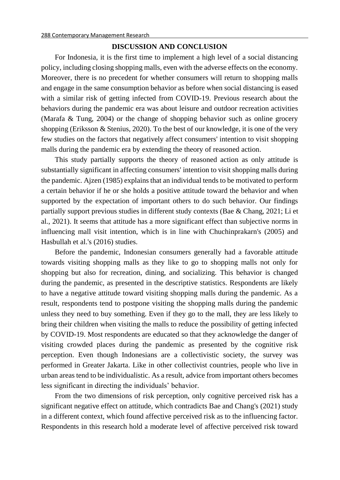### **DISCUSSION AND CONCLUSION**

For Indonesia, it is the first time to implement a high level of a social distancing policy, including closing shopping malls, even with the adverse effects on the economy. Moreover, there is no precedent for whether consumers will return to shopping malls and engage in the same consumption behavior as before when social distancing is eased with a similar risk of getting infected from COVID-19. Previous research about the behaviors during the pandemic era was about leisure and outdoor recreation activities (Marafa & Tung, 2004) or the change of shopping behavior such as online grocery shopping (Eriksson & Stenius, 2020). To the best of our knowledge, it is one of the very few studies on the factors that negatively affect consumers' intention to visit shopping malls during the pandemic era by extending the theory of reasoned action.

This study partially supports the theory of reasoned action as only attitude is substantially significant in affecting consumers' intention to visit shopping malls during the pandemic. Ajzen (1985) explains that an individual tends to be motivated to perform a certain behavior if he or she holds a positive attitude toward the behavior and when supported by the expectation of important others to do such behavior. Our findings partially support previous studies in different study contexts (Bae & Chang, 2021; Li et al., 2021). It seems that attitude has a more significant effect than subjective norms in influencing mall visit intention, which is in line with Chuchinprakarn's (2005) and Hasbullah et al.'s (2016) studies.

Before the pandemic, Indonesian consumers generally had a favorable attitude towards visiting shopping malls as they like to go to shopping malls not only for shopping but also for recreation, dining, and socializing. This behavior is changed during the pandemic, as presented in the descriptive statistics. Respondents are likely to have a negative attitude toward visiting shopping malls during the pandemic. As a result, respondents tend to postpone visiting the shopping malls during the pandemic unless they need to buy something. Even if they go to the mall, they are less likely to bring their children when visiting the malls to reduce the possibility of getting infected by COVID-19. Most respondents are educated so that they acknowledge the danger of visiting crowded places during the pandemic as presented by the cognitive risk perception. Even though Indonesians are a collectivistic society, the survey was performed in Greater Jakarta. Like in other collectivist countries, people who live in urban areas tend to be individualistic. As a result, advice from important others becomes less significant in directing the individuals' behavior.

From the two dimensions of risk perception, only cognitive perceived risk has a significant negative effect on attitude, which contradicts Bae and Chang's (2021) study in a different context, which found affective perceived risk as to the influencing factor. Respondents in this research hold a moderate level of affective perceived risk toward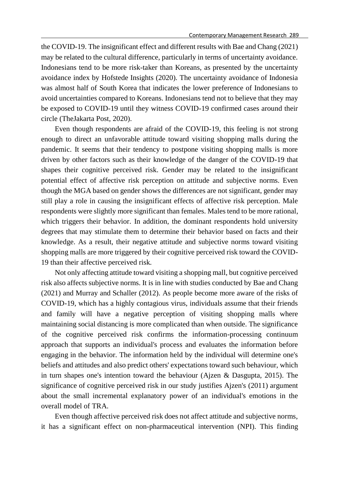the COVID-19. The insignificant effect and different results with Bae and Chang (2021) may be related to the cultural difference, particularly in terms of uncertainty avoidance. Indonesians tend to be more risk-taker than Koreans, as presented by the uncertainty avoidance index by Hofstede Insights (2020). The uncertainty avoidance of Indonesia was almost half of South Korea that indicates the lower preference of Indonesians to avoid uncertainties compared to Koreans. Indonesians tend not to believe that they may be exposed to COVID-19 until they witness COVID-19 confirmed cases around their circle (TheJakarta Post, 2020).

Even though respondents are afraid of the COVID-19, this feeling is not strong enough to direct an unfavorable attitude toward visiting shopping malls during the pandemic. It seems that their tendency to postpone visiting shopping malls is more driven by other factors such as their knowledge of the danger of the COVID-19 that shapes their cognitive perceived risk. Gender may be related to the insignificant potential effect of affective risk perception on attitude and subjective norms. Even though the MGA based on gender shows the differences are not significant, gender may still play a role in causing the insignificant effects of affective risk perception. Male respondents were slightly more significant than females. Males tend to be more rational, which triggers their behavior. In addition, the dominant respondents hold university degrees that may stimulate them to determine their behavior based on facts and their knowledge. As a result, their negative attitude and subjective norms toward visiting shopping malls are more triggered by their cognitive perceived risk toward the COVID-19 than their affective perceived risk.

Not only affecting attitude toward visiting a shopping mall, but cognitive perceived risk also affects subjective norms. It is in line with studies conducted by Bae and Chang (2021) and Murray and Schaller (2012). As people become more aware of the risks of COVID-19, which has a highly contagious virus, individuals assume that their friends and family will have a negative perception of visiting shopping malls where maintaining social distancing is more complicated than when outside. The significance of the cognitive perceived risk confirms the information-processing continuum approach that supports an individual's process and evaluates the information before engaging in the behavior. The information held by the individual will determine one's beliefs and attitudes and also predict others' expectations toward such behaviour, which in turn shapes one's intention toward the behaviour (Ajzen & Dasgupta, 2015). The significance of cognitive perceived risk in our study justifies Ajzen's (2011) argument about the small incremental explanatory power of an individual's emotions in the overall model of TRA.

Even though affective perceived risk does not affect attitude and subjective norms, it has a significant effect on non-pharmaceutical intervention (NPI). This finding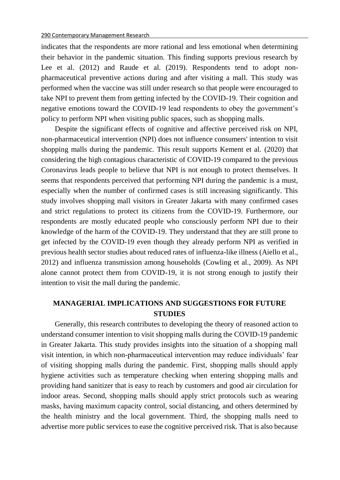indicates that the respondents are more rational and less emotional when determining their behavior in the pandemic situation. This finding supports previous research by Lee et al. (2012) and Raude et al. (2019). Respondents tend to adopt nonpharmaceutical preventive actions during and after visiting a mall. This study was performed when the vaccine was still under research so that people were encouraged to take NPI to prevent them from getting infected by the COVID-19. Their cognition and negative emotions toward the COVID-19 lead respondents to obey the government's policy to perform NPI when visiting public spaces, such as shopping malls.

Despite the significant effects of cognitive and affective perceived risk on NPI, non-pharmaceutical intervention (NPI) does not influence consumers' intention to visit shopping malls during the pandemic. This result supports Kement et al. (2020) that considering the high contagious characteristic of COVID-19 compared to the previous Coronavirus leads people to believe that NPI is not enough to protect themselves. It seems that respondents perceived that performing NPI during the pandemic is a must, especially when the number of confirmed cases is still increasing significantly. This study involves shopping mall visitors in Greater Jakarta with many confirmed cases and strict regulations to protect its citizens from the COVID-19. Furthermore, our respondents are mostly educated people who consciously perform NPI due to their knowledge of the harm of the COVID-19. They understand that they are still prone to get infected by the COVID-19 even though they already perform NPI as verified in previous health sector studies about reduced rates of influenza-like illness (Aiello et al., 2012) and influenza transmission among households (Cowling et al., 2009). As NPI alone cannot protect them from COVID-19, it is not strong enough to justify their intention to visit the mall during the pandemic.

# **MANAGERIAL IMPLICATIONS AND SUGGESTIONS FOR FUTURE STUDIES**

Generally, this research contributes to developing the theory of reasoned action to understand consumer intention to visit shopping malls during the COVID-19 pandemic in Greater Jakarta. This study provides insights into the situation of a shopping mall visit intention, in which non-pharmaceutical intervention may reduce individuals' fear of visiting shopping malls during the pandemic. First, shopping malls should apply hygiene activities such as temperature checking when entering shopping malls and providing hand sanitizer that is easy to reach by customers and good air circulation for indoor areas. Second, shopping malls should apply strict protocols such as wearing masks, having maximum capacity control, social distancing, and others determined by the health ministry and the local government. Third, the shopping malls need to advertise more public services to ease the cognitive perceived risk. That is also because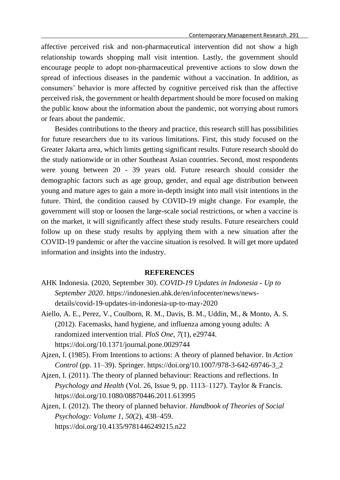affective perceived risk and non-pharmaceutical intervention did not show a high relationship towards shopping mall visit intention. Lastly, the government should encourage people to adopt non-pharmaceutical preventive actions to slow down the spread of infectious diseases in the pandemic without a vaccination. In addition, as consumers' behavior is more affected by cognitive perceived risk than the affective perceived risk, the government or health department should be more focused on making the public know about the information about the pandemic, not worrying about rumors or fears about the pandemic.

Besides contributions to the theory and practice, this research still has possibilities for future researchers due to its various limitations. First, this study focused on the Greater Jakarta area, which limits getting significant results. Future research should do the study nationwide or in other Southeast Asian countries. Second, most respondents were young between 20 - 39 years old. Future research should consider the demographic factors such as age group, gender, and equal age distribution between young and mature ages to gain a more in-depth insight into mall visit intentions in the future. Third, the condition caused by COVID-19 might change. For example, the government will stop or loosen the large-scale social restrictions, or when a vaccine is on the market, it will significantly affect these study results. Future researchers could follow up on these study results by applying them with a new situation after the COVID-19 pandemic or after the vaccine situation is resolved. It will get more updated information and insights into the industry.

### **REFERENCES**

- AHK Indonesia. (2020, September 30). *COVID-19 Updates in Indonesia - Up to September 2020*. https://indonesien.ahk.de/en/infocenter/news/newsdetails/covid-19-updates-in-indonesia-up-to-may-2020
- Aiello, A. E., Perez, V., Coulborn, R. M., Davis, B. M., Uddin, M., & Monto, A. S. (2012). Facemasks, hand hygiene, and influenza among young adults: A randomized intervention trial. *PloS One*, *7*(1), e29744. https://doi.org/10.1371/journal.pone.0029744
- Ajzen, I. (1985). From Intentions to actions: A theory of planned behavior. In *Action Control* (pp. 11–39). Springer. https://doi.org/10.1007/978-3-642-69746-3\_2
- Ajzen, I. (2011). The theory of planned behaviour: Reactions and reflections. In *Psychology and Health* (Vol. 26, Issue 9, pp. 1113–1127). Taylor & Francis. https://doi.org/10.1080/08870446.2011.613995
- Ajzen, I. (2012). The theory of planned behavior. *Handbook of Theories of Social Psychology: Volume 1*, *50*(2), 438–459. https://doi.org/10.4135/9781446249215.n22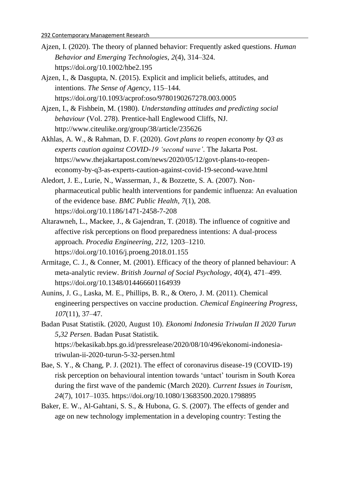- Ajzen, I. (2020). The theory of planned behavior: Frequently asked questions. *Human Behavior and Emerging Technologies*, *2*(4), 314–324. https://doi.org/10.1002/hbe2.195
- Ajzen, I., & Dasgupta, N. (2015). Explicit and implicit beliefs, attitudes, and intentions. *The Sense of Agency*, 115–144. https://doi.org/10.1093/acprof:oso/9780190267278.003.0005
- Ajzen, I., & Fishbein, M. (1980). *Understanding attitudes and predicting social behaviour* (Vol. 278). Prentice-hall Englewood Cliffs, NJ. http://www.citeulike.org/group/38/article/235626
- Akhlas, A. W., & Rahman, D. F. (2020). *Govt plans to reopen economy by Q3 as experts caution against COVID-19 'second wave'*. The Jakarta Post. https://www.thejakartapost.com/news/2020/05/12/govt-plans-to-reopeneconomy-by-q3-as-experts-caution-against-covid-19-second-wave.html
- Aledort, J. E., Lurie, N., Wasserman, J., & Bozzette, S. A. (2007). Nonpharmaceutical public health interventions for pandemic influenza: An evaluation of the evidence base. *BMC Public Health*, *7*(1), 208. https://doi.org/10.1186/1471-2458-7-208
- Altarawneh, L., Mackee, J., & Gajendran, T. (2018). The influence of cognitive and affective risk perceptions on flood preparedness intentions: A dual-process approach. *Procedia Engineering*, *212*, 1203–1210. https://doi.org/10.1016/j.proeng.2018.01.155
- Armitage, C. J., & Conner, M. (2001). Efficacy of the theory of planned behaviour: A meta-analytic review. *British Journal of Social Psychology*, *40*(4), 471–499. https://doi.org/10.1348/014466601164939
- Aunins, J. G., Laska, M. E., Phillips, B. R., & Otero, J. M. (2011). Chemical engineering perspectives on vaccine production. *Chemical Engineering Progress*, *107*(11), 37–47.
- Badan Pusat Statistik. (2020, August 10). *Ekonomi Indonesia Triwulan II 2020 Turun 5,32 Persen*. Badan Pusat Statistik. https://bekasikab.bps.go.id/pressrelease/2020/08/10/496/ekonomi-indonesiatriwulan-ii-2020-turun-5-32-persen.html
- Bae, S. Y., & Chang, P. J. (2021). The effect of coronavirus disease-19 (COVID-19) risk perception on behavioural intention towards 'untact' tourism in South Korea during the first wave of the pandemic (March 2020). *Current Issues in Tourism*, *24*(7), 1017–1035. https://doi.org/10.1080/13683500.2020.1798895
- Baker, E. W., Al-Gahtani, S. S., & Hubona, G. S. (2007). The effects of gender and age on new technology implementation in a developing country: Testing the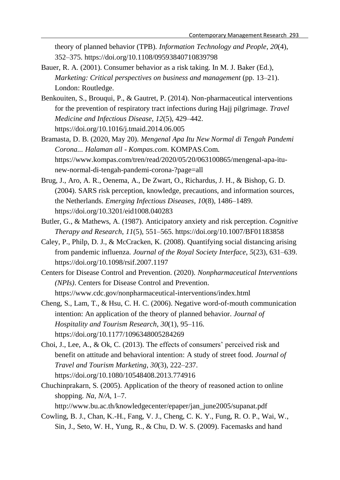theory of planned behavior (TPB). *Information Technology and People*, *20*(4), 352–375. https://doi.org/10.1108/09593840710839798

- Bauer, R. A. (2001). Consumer behavior as a risk taking. In M. J. Baker (Ed.), *Marketing: Critical perspectives on business and management* (pp. 13–21). London: Routledge.
- Benkouiten, S., Brouqui, P., & Gautret, P. (2014). Non-pharmaceutical interventions for the prevention of respiratory tract infections during Hajj pilgrimage. *Travel Medicine and Infectious Disease*, *12*(5), 429–442. https://doi.org/10.1016/j.tmaid.2014.06.005
- Bramasta, D. B. (2020, May 20). *Mengenal Apa Itu New Normal di Tengah Pandemi Corona... Halaman all - Kompas.com*. KOMPAS.Com. https://www.kompas.com/tren/read/2020/05/20/063100865/mengenal-apa-itunew-normal-di-tengah-pandemi-corona-?page=all
- Brug, J., Aro, A. R., Oenema, A., De Zwart, O., Richardus, J. H., & Bishop, G. D. (2004). SARS risk perception, knowledge, precautions, and information sources, the Netherlands. *Emerging Infectious Diseases*, *10*(8), 1486–1489. https://doi.org/10.3201/eid1008.040283
- Butler, G., & Mathews, A. (1987). Anticipatory anxiety and risk perception. *Cognitive Therapy and Research*, *11*(5), 551–565. https://doi.org/10.1007/BF01183858
- Caley, P., Philp, D. J., & McCracken, K. (2008). Quantifying social distancing arising from pandemic influenza. *Journal of the Royal Society Interface*, *5*(23), 631–639. https://doi.org/10.1098/rsif.2007.1197
- Centers for Disease Control and Prevention. (2020). *Nonpharmaceutical Interventions (NPIs)*. Centers for Disease Control and Prevention. https://www.cdc.gov/nonpharmaceutical-interventions/index.html
- Cheng, S., Lam, T., & Hsu, C. H. C. (2006). Negative word-of-mouth communication intention: An application of the theory of planned behavior. *Journal of Hospitality and Tourism Research*, *30*(1), 95–116. https://doi.org/10.1177/1096348005284269
- Choi, J., Lee, A., & Ok, C. (2013). The effects of consumers' perceived risk and benefit on attitude and behavioral intention: A study of street food. *Journal of Travel and Tourism Marketing*, *30*(3), 222–237. https://doi.org/10.1080/10548408.2013.774916
- Chuchinprakarn, S. (2005). Application of the theory of reasoned action to online shopping. *Na*, *N/A*, 1–7. http://www.bu.ac.th/knowledgecenter/epaper/jan\_june2005/supanat.pdf
- Cowling, B. J., Chan, K.-H., Fang, V. J., Cheng, C. K. Y., Fung, R. O. P., Wai, W., Sin, J., Seto, W. H., Yung, R., & Chu, D. W. S. (2009). Facemasks and hand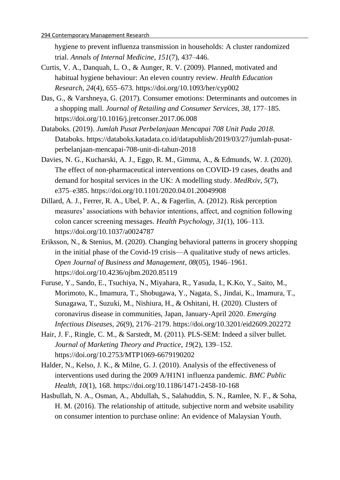hygiene to prevent influenza transmission in households: A cluster randomized trial. *Annals of Internal Medicine*, *151*(7), 437–446.

- Curtis, V. A., Danquah, L. O., & Aunger, R. V. (2009). Planned, motivated and habitual hygiene behaviour: An eleven country review. *Health Education Research*, *24*(4), 655–673. https://doi.org/10.1093/her/cyp002
- Das, G., & Varshneya, G. (2017). Consumer emotions: Determinants and outcomes in a shopping mall. *Journal of Retailing and Consumer Services*, *38*, 177–185. https://doi.org/10.1016/j.jretconser.2017.06.008
- Databoks. (2019). *Jumlah Pusat Perbelanjaan Mencapai 708 Unit Pada 2018*. Databoks. https://databoks.katadata.co.id/datapublish/2019/03/27/jumlah-pusatperbelanjaan-mencapai-708-unit-di-tahun-2018
- Davies, N. G., Kucharski, A. J., Eggo, R. M., Gimma, A., & Edmunds, W. J. (2020). The effect of non-pharmaceutical interventions on COVID-19 cases, deaths and demand for hospital services in the UK: A modelling study. *MedRxiv*, *5*(7), e375–e385. https://doi.org/10.1101/2020.04.01.20049908
- Dillard, A. J., Ferrer, R. A., Ubel, P. A., & Fagerlin, A. (2012). Risk perception measures' associations with behavior intentions, affect, and cognition following colon cancer screening messages. *Health Psychology*, *31*(1), 106–113. https://doi.org/10.1037/a0024787
- Eriksson, N., & Stenius, M. (2020). Changing behavioral patterns in grocery shopping in the initial phase of the Covid-19 crisis—A qualitative study of news articles. *Open Journal of Business and Management*, *08*(05), 1946–1961. https://doi.org/10.4236/ojbm.2020.85119
- Furuse, Y., Sando, E., Tsuchiya, N., Miyahara, R., Yasuda, I., K.Ko, Y., Saito, M., Morimoto, K., Imamura, T., Shobugawa, Y., Nagata, S., Jindai, K., Imamura, T., Sunagawa, T., Suzuki, M., Nishiura, H., & Oshitani, H. (2020). Clusters of coronavirus disease in communities, Japan, January-April 2020. *Emerging Infectious Diseases*, *26*(9), 2176–2179. https://doi.org/10.3201/eid2609.202272
- Hair, J. F., Ringle, C. M., & Sarstedt, M. (2011). PLS-SEM: Indeed a silver bullet. *Journal of Marketing Theory and Practice*, *19*(2), 139–152. https://doi.org/10.2753/MTP1069-6679190202
- Halder, N., Kelso, J. K., & Milne, G. J. (2010). Analysis of the effectiveness of interventions used during the 2009 A/H1N1 influenza pandemic. *BMC Public Health*, *10*(1), 168. https://doi.org/10.1186/1471-2458-10-168
- Hasbullah, N. A., Osman, A., Abdullah, S., Salahuddin, S. N., Ramlee, N. F., & Soha, H. M. (2016). The relationship of attitude, subjective norm and website usability on consumer intention to purchase online: An evidence of Malaysian Youth.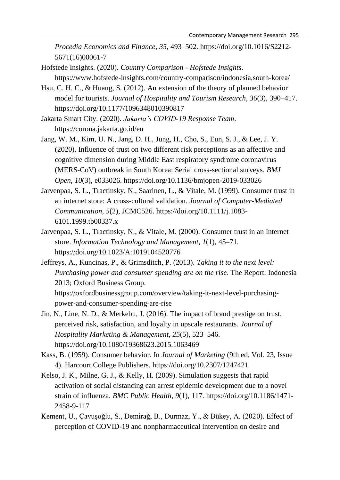*Procedia Economics and Finance*, *35*, 493–502. https://doi.org/10.1016/S2212- 5671(16)00061-7

- Hofstede Insights. (2020). *Country Comparison - Hofstede Insights*. https://www.hofstede-insights.com/country-comparison/indonesia,south-korea/
- Hsu, C. H. C., & Huang, S. (2012). An extension of the theory of planned behavior model for tourists. *Journal of Hospitality and Tourism Research*, *36*(3), 390–417. https://doi.org/10.1177/1096348010390817
- Jakarta Smart City. (2020). *Jakarta's COVID-19 Response Team*. https://corona.jakarta.go.id/en
- Jang, W. M., Kim, U. N., Jang, D. H., Jung, H., Cho, S., Eun, S. J., & Lee, J. Y. (2020). Influence of trust on two different risk perceptions as an affective and cognitive dimension during Middle East respiratory syndrome coronavirus (MERS-CoV) outbreak in South Korea: Serial cross-sectional surveys. *BMJ Open*, *10*(3), e033026. https://doi.org/10.1136/bmjopen-2019-033026
- Jarvenpaa, S. L., Tractinsky, N., Saarinen, L., & Vitale, M. (1999). Consumer trust in an internet store: A cross-cultural validation. *Journal of Computer-Mediated Communication*, *5*(2), JCMC526. https://doi.org/10.1111/j.1083- 6101.1999.tb00337.x
- Jarvenpaa, S. L., Tractinsky, N., & Vitale, M. (2000). Consumer trust in an Internet store. *Information Technology and Management*, *1*(1), 45–71. https://doi.org/10.1023/A:1019104520776
- Jeffreys, A., Kuncinas, P., & Grimsditch, P. (2013). *Taking it to the next level: Purchasing power and consumer spending are on the rise*. The Report: Indonesia 2013; Oxford Business Group. https://oxfordbusinessgroup.com/overview/taking-it-next-level-purchasingpower-and-consumer-spending-are-rise
- Jin, N., Line, N. D., & Merkebu, J. (2016). The impact of brand prestige on trust, perceived risk, satisfaction, and loyalty in upscale restaurants. *Journal of Hospitality Marketing & Management*, *25*(5), 523–546. https://doi.org/10.1080/19368623.2015.1063469
- Kass, B. (1959). Consumer behavior. In *Journal of Marketing* (9th ed, Vol. 23, Issue 4). Harcourt College Publishers. https://doi.org/10.2307/1247421
- Kelso, J. K., Milne, G. J., & Kelly, H. (2009). Simulation suggests that rapid activation of social distancing can arrest epidemic development due to a novel strain of influenza. *BMC Public Health*, *9*(1), 117. https://doi.org/10.1186/1471- 2458-9-117
- Kement, U., Çavuşoğlu, S., Demirağ, B., Durmaz, Y., & Bükey, A. (2020). Effect of perception of COVID-19 and nonpharmaceutical intervention on desire and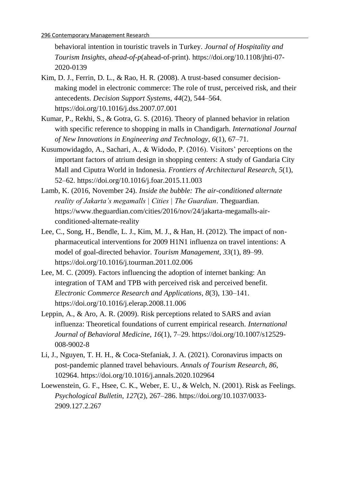behavioral intention in touristic travels in Turkey. *Journal of Hospitality and Tourism Insights*, *ahead*-*of*-*p*(ahead-of-print). https://doi.org/10.1108/jhti-07- 2020-0139

- Kim, D. J., Ferrin, D. L., & Rao, H. R. (2008). A trust-based consumer decisionmaking model in electronic commerce: The role of trust, perceived risk, and their antecedents. *Decision Support Systems*, *44*(2), 544–564. https://doi.org/10.1016/j.dss.2007.07.001
- Kumar, P., Rekhi, S., & Gotra, G. S. (2016). Theory of planned behavior in relation with specific reference to shopping in malls in Chandigarh. *International Journal of New Innovations in Engineering and Technology*, *6*(1), 67–71.
- Kusumowidagdo, A., Sachari, A., & Widodo, P. (2016). Visitors' perceptions on the important factors of atrium design in shopping centers: A study of Gandaria City Mall and Ciputra World in Indonesia. *Frontiers of Architectural Research*, *5*(1), 52–62. https://doi.org/10.1016/j.foar.2015.11.003
- Lamb, K. (2016, November 24). *Inside the bubble: The air-conditioned alternate reality of Jakarta's megamalls | Cities | The Guardian*. Theguardian. https://www.theguardian.com/cities/2016/nov/24/jakarta-megamalls-airconditioned-alternate-reality
- Lee, C., Song, H., Bendle, L. J., Kim, M. J., & Han, H. (2012). The impact of nonpharmaceutical interventions for 2009 H1N1 influenza on travel intentions: A model of goal-directed behavior. *Tourism Management*, *33*(1), 89–99. https://doi.org/10.1016/j.tourman.2011.02.006
- Lee, M. C. (2009). Factors influencing the adoption of internet banking: An integration of TAM and TPB with perceived risk and perceived benefit. *Electronic Commerce Research and Applications*, *8*(3), 130–141. https://doi.org/10.1016/j.elerap.2008.11.006
- Leppin, A., & Aro, A. R. (2009). Risk perceptions related to SARS and avian influenza: Theoretical foundations of current empirical research. *International Journal of Behavioral Medicine*, *16*(1), 7–29. https://doi.org/10.1007/s12529- 008-9002-8
- Li, J., Nguyen, T. H. H., & Coca-Stefaniak, J. A. (2021). Coronavirus impacts on post-pandemic planned travel behaviours. *Annals of Tourism Research*, *86*, 102964. https://doi.org/10.1016/j.annals.2020.102964
- Loewenstein, G. F., Hsee, C. K., Weber, E. U., & Welch, N. (2001). Risk as Feelings. *Psychological Bulletin*, *127*(2), 267–286. https://doi.org/10.1037/0033- 2909.127.2.267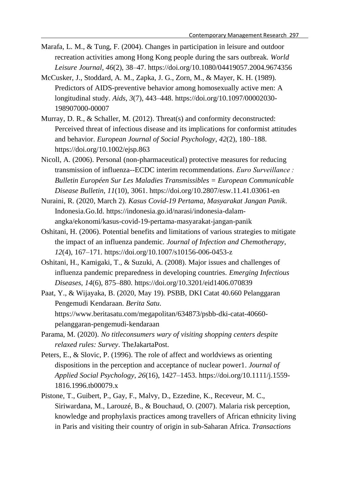- Marafa, L. M., & Tung, F. (2004). Changes in participation in leisure and outdoor recreation activities among Hong Kong people during the sars outbreak. *World Leisure Journal*, *46*(2), 38–47. https://doi.org/10.1080/04419057.2004.9674356
- McCusker, J., Stoddard, A. M., Zapka, J. G., Zorn, M., & Mayer, K. H. (1989). Predictors of AIDS-preventive behavior among homosexually active men: A longitudinal study. *Aids*, *3*(7), 443–448. https://doi.org/10.1097/00002030- 198907000-00007
- Murray, D. R., & Schaller, M. (2012). Threat(s) and conformity deconstructed: Perceived threat of infectious disease and its implications for conformist attitudes and behavior. *European Journal of Social Psychology*, *42*(2), 180–188. https://doi.org/10.1002/ejsp.863
- Nicoll, A. (2006). Personal (non-pharmaceutical) protective measures for reducing transmission of influenza--ECDC interim recommendations. *Euro Surveillance : Bulletin Européen Sur Les Maladies Transmissibles = European Communicable Disease Bulletin*, *11*(10), 3061. https://doi.org/10.2807/esw.11.41.03061-en
- Nuraini, R. (2020, March 2). *Kasus Covid-19 Pertama, Masyarakat Jangan Panik*. Indonesia.Go.Id. https://indonesia.go.id/narasi/indonesia-dalamangka/ekonomi/kasus-covid-19-pertama-masyarakat-jangan-panik
- Oshitani, H. (2006). Potential benefits and limitations of various strategies to mitigate the impact of an influenza pandemic. *Journal of Infection and Chemotherapy*, *12*(4), 167–171. https://doi.org/10.1007/s10156-006-0453-z
- Oshitani, H., Kamigaki, T., & Suzuki, A. (2008). Major issues and challenges of influenza pandemic preparedness in developing countries. *Emerging Infectious Diseases*, *14*(6), 875–880. https://doi.org/10.3201/eid1406.070839
- Paat, Y., & Wijayaka, B. (2020, May 19). PSBB, DKI Catat 40.660 Pelanggaran Pengemudi Kendaraan. *Berita Satu*. https://www.beritasatu.com/megapolitan/634873/psbb-dki-catat-40660 pelanggaran-pengemudi-kendaraan
- Parama, M. (2020). *No titleconsumers wary of visiting shopping centers despite relaxed rules: Survey*. TheJakartaPost.
- Peters, E., & Slovic, P. (1996). The role of affect and worldviews as orienting dispositions in the perception and acceptance of nuclear power1. *Journal of Applied Social Psychology*, *26*(16), 1427–1453. https://doi.org/10.1111/j.1559- 1816.1996.tb00079.x
- Pistone, T., Guibert, P., Gay, F., Malvy, D., Ezzedine, K., Receveur, M. C., Siriwardana, M., Larouzé, B., & Bouchaud, O. (2007). Malaria risk perception, knowledge and prophylaxis practices among travellers of African ethnicity living in Paris and visiting their country of origin in sub-Saharan Africa. *Transactions*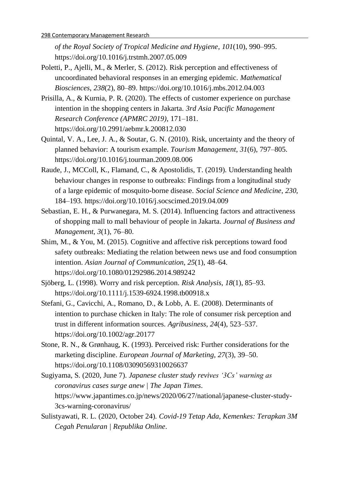*of the Royal Society of Tropical Medicine and Hygiene*, *101*(10), 990–995. https://doi.org/10.1016/j.trstmh.2007.05.009

- Poletti, P., Ajelli, M., & Merler, S. (2012). Risk perception and effectiveness of uncoordinated behavioral responses in an emerging epidemic. *Mathematical Biosciences*, *238*(2), 80–89. https://doi.org/10.1016/j.mbs.2012.04.003
- Prisilla, A., & Kurnia, P. R. (2020). The effects of customer experience on purchase intention in the shopping centers in Jakarta. *3rd Asia Pacific Management Research Conference (APMRC 2019)*, 171–181. https://doi.org/10.2991/aebmr.k.200812.030
- Quintal, V. A., Lee, J. A., & Soutar, G. N. (2010). Risk, uncertainty and the theory of planned behavior: A tourism example. *Tourism Management*, *31*(6), 797–805. https://doi.org/10.1016/j.tourman.2009.08.006
- Raude, J., MCColl, K., Flamand, C., & Apostolidis, T. (2019). Understanding health behaviour changes in response to outbreaks: Findings from a longitudinal study of a large epidemic of mosquito-borne disease. *Social Science and Medicine*, *230*, 184–193. https://doi.org/10.1016/j.socscimed.2019.04.009
- Sebastian, E. H., & Purwanegara, M. S. (2014). Influencing factors and attractiveness of shopping mall to mall behaviour of people in Jakarta. *Journal of Business and Management*, *3*(1), 76–80.
- Shim, M., & You, M. (2015). Cognitive and affective risk perceptions toward food safety outbreaks: Mediating the relation between news use and food consumption intention. *Asian Journal of Communication*, *25*(1), 48–64. https://doi.org/10.1080/01292986.2014.989242
- Sjöberg, L. (1998). Worry and risk perception. *Risk Analysis*, *18*(1), 85–93. https://doi.org/10.1111/j.1539-6924.1998.tb00918.x
- Stefani, G., Cavicchi, A., Romano, D., & Lobb, A. E. (2008). Determinants of intention to purchase chicken in Italy: The role of consumer risk perception and trust in different information sources. *Agribusiness*, *24*(4), 523–537. https://doi.org/10.1002/agr.20177
- Stone, R. N., & Grønhaug, K. (1993). Perceived risk: Further considerations for the marketing discipline. *European Journal of Marketing*, *27*(3), 39–50. https://doi.org/10.1108/03090569310026637
- Sugiyama, S. (2020, June 7). *Japanese cluster study revives '3Cs' warning as coronavirus cases surge anew | The Japan Times*. https://www.japantimes.co.jp/news/2020/06/27/national/japanese-cluster-study-3cs-warning-coronavirus/
- Sulistyawati, R. L. (2020, October 24). *Covid-19 Tetap Ada, Kemenkes: Terapkan 3M Cegah Penularan | Republika Online*.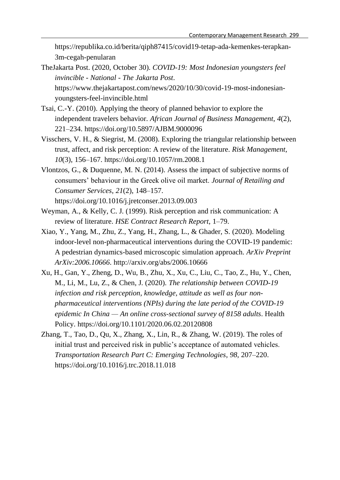https://republika.co.id/berita/qiph87415/covid19-tetap-ada-kemenkes-terapkan-3m-cegah-penularan

- TheJakarta Post. (2020, October 30). *COVID-19: Most Indonesian youngsters feel invincible - National - The Jakarta Post*. https://www.thejakartapost.com/news/2020/10/30/covid-19-most-indonesianyoungsters-feel-invincible.html
- Tsai, C.-Y. (2010). Applying the theory of planned behavior to explore the independent travelers behavior. *African Journal of Business Management*, *4*(2), 221–234. https://doi.org/10.5897/AJBM.9000096
- Visschers, V. H., & Siegrist, M. (2008). Exploring the triangular relationship between trust, affect, and risk perception: A review of the literature. *Risk Management*, *10*(3), 156–167. https://doi.org/10.1057/rm.2008.1
- Vlontzos, G., & Duquenne, M. N. (2014). Assess the impact of subjective norms of consumers' behaviour in the Greek olive oil market. *Journal of Retailing and Consumer Services*, *21*(2), 148–157. https://doi.org/10.1016/j.jretconser.2013.09.003
- Weyman, A., & Kelly, C. J. (1999). Risk perception and risk communication: A review of literature. *HSE Contract Research Report*, 1–79.
- Xiao, Y., Yang, M., Zhu, Z., Yang, H., Zhang, L., & Ghader, S. (2020). Modeling indoor-level non-pharmaceutical interventions during the COVID-19 pandemic: A pedestrian dynamics-based microscopic simulation approach. *ArXiv Preprint ArXiv:2006.10666*. http://arxiv.org/abs/2006.10666
- Xu, H., Gan, Y., Zheng, D., Wu, B., Zhu, X., Xu, C., Liu, C., Tao, Z., Hu, Y., Chen, M., Li, M., Lu, Z., & Chen, J. (2020). *The relationship between COVID-19 infection and risk perception, knowledge, attitude as well as four nonpharmaceutical interventions (NPIs) during the late period of the COVID-19 epidemic In China — An online cross-sectional survey of 8158 adults*. Health Policy. https://doi.org/10.1101/2020.06.02.20120808
- Zhang, T., Tao, D., Qu, X., Zhang, X., Lin, R., & Zhang, W. (2019). The roles of initial trust and perceived risk in public's acceptance of automated vehicles. *Transportation Research Part C: Emerging Technologies*, *98*, 207–220. https://doi.org/10.1016/j.trc.2018.11.018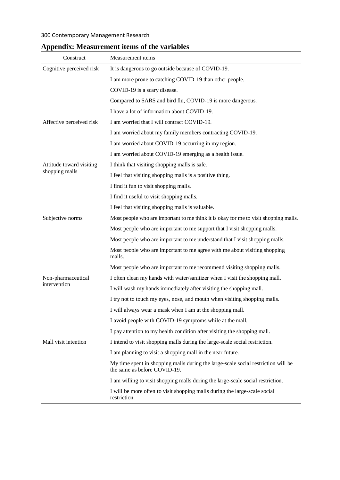| Construct                | Measurement items                                                                                                 |  |  |  |  |  |
|--------------------------|-------------------------------------------------------------------------------------------------------------------|--|--|--|--|--|
| Cognitive perceived risk | It is dangerous to go outside because of COVID-19.                                                                |  |  |  |  |  |
|                          | I am more prone to catching COVID-19 than other people.                                                           |  |  |  |  |  |
|                          | COVID-19 is a scary disease.                                                                                      |  |  |  |  |  |
|                          | Compared to SARS and bird flu, COVID-19 is more dangerous.                                                        |  |  |  |  |  |
|                          | I have a lot of information about COVID-19.                                                                       |  |  |  |  |  |
| Affective perceived risk | I am worried that I will contract COVID-19.                                                                       |  |  |  |  |  |
|                          | I am worried about my family members contracting COVID-19.                                                        |  |  |  |  |  |
|                          | I am worried about COVID-19 occurring in my region.                                                               |  |  |  |  |  |
|                          | I am worried about COVID-19 emerging as a health issue.                                                           |  |  |  |  |  |
| Attitude toward visiting | I think that visiting shopping malls is safe.                                                                     |  |  |  |  |  |
| shopping malls           | I feel that visiting shopping malls is a positive thing.                                                          |  |  |  |  |  |
|                          | I find it fun to visit shopping malls.                                                                            |  |  |  |  |  |
|                          | I find it useful to visit shopping malls.                                                                         |  |  |  |  |  |
|                          | I feel that visiting shopping malls is valuable.                                                                  |  |  |  |  |  |
| Subjective norms         | Most people who are important to me think it is okay for me to visit shopping malls.                              |  |  |  |  |  |
|                          | Most people who are important to me support that I visit shopping malls.                                          |  |  |  |  |  |
|                          | Most people who are important to me understand that I visit shopping malls.                                       |  |  |  |  |  |
|                          | Most people who are important to me agree with me about visiting shopping<br>malls.                               |  |  |  |  |  |
|                          | Most people who are important to me recommend visiting shopping malls.                                            |  |  |  |  |  |
| Non-pharmaceutical       | I often clean my hands with water/sanitizer when I visit the shopping mall.                                       |  |  |  |  |  |
| intervention             | I will wash my hands immediately after visiting the shopping mall.                                                |  |  |  |  |  |
|                          | I try not to touch my eyes, nose, and mouth when visiting shopping malls.                                         |  |  |  |  |  |
|                          | I will always wear a mask when I am at the shopping mall.                                                         |  |  |  |  |  |
|                          | I avoid people with COVID-19 symptoms while at the mall.                                                          |  |  |  |  |  |
|                          | I pay attention to my health condition after visiting the shopping mall.                                          |  |  |  |  |  |
| Mall visit intention     | I intend to visit shopping malls during the large-scale social restriction.                                       |  |  |  |  |  |
|                          | I am planning to visit a shopping mall in the near future.                                                        |  |  |  |  |  |
|                          | My time spent in shopping malls during the large-scale social restriction will be<br>the same as before COVID-19. |  |  |  |  |  |
|                          | I am willing to visit shopping malls during the large-scale social restriction.                                   |  |  |  |  |  |
|                          | I will be more often to visit shopping malls during the large-scale social<br>restriction.                        |  |  |  |  |  |

# **Appendix: Measurement items of the variables**